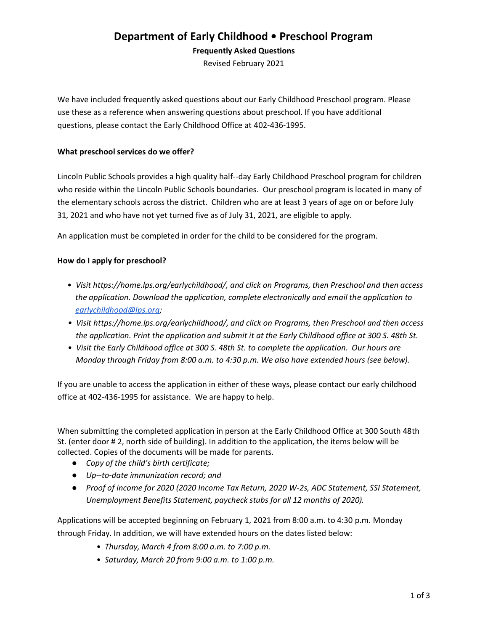# **Department of Early Childhood • Preschool Program**

**Frequently Asked Questions**

Revised February 2021

We have included frequently asked questions about our Early Childhood Preschool program. Please use these as a reference when answering questions about preschool. If you have additional questions, please contact the Early Childhood Office at 402-436-1995.

# **What preschool services do we offer?**

Lincoln Public Schools provides a high quality half--day Early Childhood Preschool program for children who reside within the Lincoln Public Schools boundaries. Our preschool program is located in many of the elementary schools across the district. Children who are at least 3 years of age on or before July 31, 2021 and who have not yet turned five as of July 31, 2021, are eligible to apply.

An application must be completed in order for the child to be considered for the program.

## **How do I apply for preschool?**

- *Visit https://home.lps.org/earlychildhood/, and click on Programs, then Preschool and then access the application. Download the application, complete electronically and email the application to [earlychildhood@lps.org;](mailto:earlychildhood@lps.org)*
- *Visit https://home.lps.org/earlychildhood/, and click on Programs, then Preschool and then access the application. Print the application and submit it at the Early Childhood office at 300 S. 48th St.*
- *Visit the Early Childhood office at 300 S. 48th St. to complete the application. Our hours are Monday through Friday from 8:00 a.m. to 4:30 p.m. We also have extended hours (see below).*

If you are unable to access the application in either of these ways, please contact our early childhood office at 402-436-1995 for assistance. We are happy to help.

When submitting the completed application in person at the Early Childhood Office at 300 South 48th St. (enter door # 2, north side of building). In addition to the application, the items below will be collected. Copies of the documents will be made for parents.

- *Copy of the child's birth certificate;*
- *Up--to-date immunization record; and*
- *Proof of income for 2020 (2020 Income Tax Return, 2020 W-2s, ADC Statement, SSI Statement, Unemployment Benefits Statement, paycheck stubs for all 12 months of 2020).*

Applications will be accepted beginning on February 1, 2021 from 8:00 a.m. to 4:30 p.m. Monday through Friday. In addition, we will have extended hours on the dates listed below:

- *Thursday, March 4 from 8:00 a.m. to 7:00 p.m.*
- *Saturday, March 20 from 9:00 a.m. to 1:00 p.m.*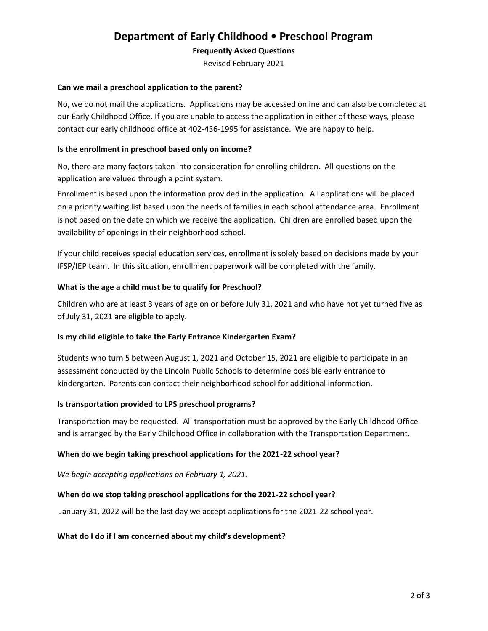# **Department of Early Childhood • Preschool Program**

#### **Frequently Asked Questions**

Revised February 2021

#### **Can we mail a preschool application to the parent?**

No, we do not mail the applications. Applications may be accessed online and can also be completed at our Early Childhood Office. If you are unable to access the application in either of these ways, please contact our early childhood office at 402-436-1995 for assistance. We are happy to help.

## **Is the enrollment in preschool based only on income?**

No, there are many factors taken into consideration for enrolling children. All questions on the application are valued through a point system.

Enrollment is based upon the information provided in the application. All applications will be placed on a priority waiting list based upon the needs of families in each school attendance area. Enrollment is not based on the date on which we receive the application. Children are enrolled based upon the availability of openings in their neighborhood school.

If your child receives special education services, enrollment is solely based on decisions made by your IFSP/IEP team. In this situation, enrollment paperwork will be completed with the family.

## **What is the age a child must be to qualify for Preschool?**

Children who are at least 3 years of age on or before July 31, 2021 and who have not yet turned five as of July 31, 2021 are eligible to apply.

#### **Is my child eligible to take the Early Entrance Kindergarten Exam?**

Students who turn 5 between August 1, 2021 and October 15, 2021 are eligible to participate in an assessment conducted by the Lincoln Public Schools to determine possible early entrance to kindergarten. Parents can contact their neighborhood school for additional information.

#### **Is transportation provided to LPS preschool programs?**

Transportation may be requested. All transportation must be approved by the Early Childhood Office and is arranged by the Early Childhood Office in collaboration with the Transportation Department.

# **When do we begin taking preschool applications for the 2021-22 school year?**

*We begin accepting applications on February 1, 2021.*

#### **When do we stop taking preschool applications for the 2021-22 school year?**

January 31, 2022 will be the last day we accept applications for the 2021-22 school year.

#### **What do I do if I am concerned about my child's development?**